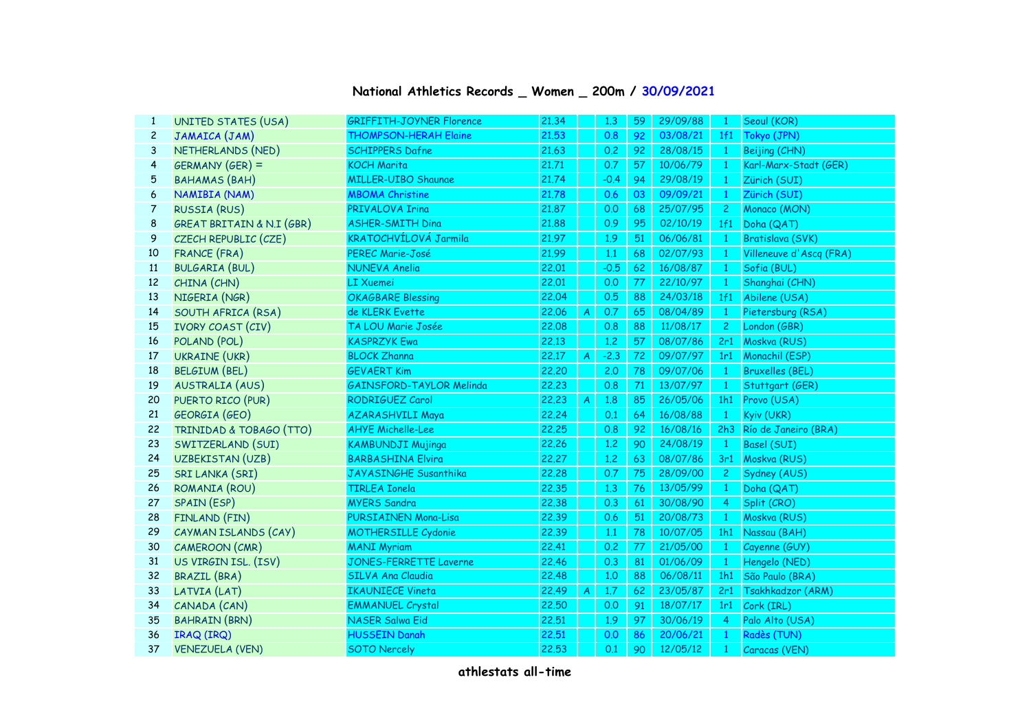| National Athletics Records _ Women _ 200m / 30/09/2021 |  |  |  |
|--------------------------------------------------------|--|--|--|
|--------------------------------------------------------|--|--|--|

| $\mathbf{1}$   | UNITED STATES (USA)                  | <b>GRIFFITH-JOYNER Florence</b> | 21.34 |                | 1,3    | 59 | 29/09/88 | $\mathbf{1}$   | Seoul (KOR)             |  |  |  |
|----------------|--------------------------------------|---------------------------------|-------|----------------|--------|----|----------|----------------|-------------------------|--|--|--|
| $\overline{c}$ | JAMAICA (JAM)                        | <b>THOMPSON-HERAH Elaine</b>    | 21.53 |                | 0.8    | 92 | 03/08/21 | 1f1            | Tokyo (JPN)             |  |  |  |
| 3              | NETHERLANDS (NED)                    | <b>SCHIPPERS Dafne</b>          | 21.63 |                | 0.2    | 92 | 28/08/15 | $\mathbf{1}$   | Beijing (CHN)           |  |  |  |
| 4              | GERMANY (GER) =                      | <b>KOCH Marita</b>              | 21.71 |                | 0.7    | 57 | 10/06/79 | $\mathbf{1}$   | Karl-Marx-Stadt (GER)   |  |  |  |
| 5              | <b>BAHAMAS (BAH)</b>                 | <b>MILLER-UIBO Shaunae</b>      | 21.74 |                | $-0.4$ | 94 | 29/08/19 | $\mathbf{1}$   | Zürich (SUI)            |  |  |  |
| 6              | NAMIBIA (NAM)                        | <b>MBOMA Christine</b>          | 21,78 |                | 0.6    | 03 | 09/09/21 | $\mathbf{1}$   | Zürich (SUI)            |  |  |  |
| 7              | <b>RUSSIA (RUS)</b>                  | PRIVALOVA Irina                 | 21.87 |                | 0.0    | 68 | 25/07/95 | $\mathbf{2}$   | Monaco (MON)            |  |  |  |
| 8              | <b>GREAT BRITAIN &amp; N.I (GBR)</b> | <b>ASHER-SMITH Dina</b>         | 21.88 |                | 0.9    | 95 | 02/10/19 | 1f1            | Doha (QAT)              |  |  |  |
| 9              | CZECH REPUBLIC (CZE)                 | <b>KRATOCHVÍLOVÁ Jarmila</b>    | 21.97 |                | 1.9    | 51 | 06/06/81 | $\mathbf{1}$   | Bratislava (SVK)        |  |  |  |
| 10             | FRANCE (FRA)                         | PEREC Marie-José                | 21.99 |                | 1.1    | 68 | 02/07/93 | $\mathbf{1}$   | Villeneuve d'Ascq (FRA) |  |  |  |
| 11             | <b>BULGARIA (BUL)</b>                | <b>NUNEVA Anelia</b>            | 22.01 |                | $-0.5$ | 62 | 16/08/87 | $\mathbf{1}$   | Sofia (BUL)             |  |  |  |
| 12             | CHINA (CHN)                          | <b>LI Xuemei</b>                | 22.01 |                | 0.0    | 77 | 22/10/97 | $\mathbf{1}$   | Shanghai (CHN)          |  |  |  |
| 13             | NIGERIA (NGR)                        | <b>OKAGBARE Blessing</b>        | 22.04 |                | 0.5    | 88 | 24/03/18 | 1f1            | Abilene (USA)           |  |  |  |
| 14             | SOUTH AFRICA (RSA)                   | de KLERK Evette                 | 22.06 | $\overline{A}$ | 0.7    | 65 | 08/04/89 | $\mathbf{1}$   | Pietersburg (RSA)       |  |  |  |
| 15             | IVORY COAST (CIV)                    | TA LOU Marie Josée              | 22.08 |                | 0.8    | 88 | 11/08/17 | $\overline{2}$ | London (GBR)            |  |  |  |
| 16             | POLAND (POL)                         | <b>KASPRZYK Ewa</b>             | 22.13 |                | 1,2    | 57 | 08/07/86 | 2r1            | Moskva (RUS)            |  |  |  |
| 17             | <b>UKRAINE (UKR)</b>                 | <b>BLOCK Zhanna</b>             | 22.17 | $\overline{A}$ | $-2.3$ | 72 | 09/07/97 | 1r1            | Monachil (ESP)          |  |  |  |
| 18             | <b>BELGIUM (BEL)</b>                 | <b>GEVAERT Kim</b>              | 22,20 |                | 2.0    | 78 | 09/07/06 | $\mathbf{1}$   | <b>Bruxelles (BEL)</b>  |  |  |  |
| 19             | AUSTRALIA (AUS)                      | <b>GAINSFORD-TAYLOR Melinda</b> | 22,23 |                | 0.8    | 71 | 13/07/97 | $\mathbf{1}$   | Stuttgart (GER)         |  |  |  |
| 20             | PUERTO RICO (PUR)                    | RODRIGUEZ Carol                 | 22,23 | $\overline{A}$ | 1.8    | 85 | 26/05/06 | 1h1            | Provo (USA)             |  |  |  |
| 21             | GEORGIA (GEO)                        | <b>AZARASHVILI Maya</b>         | 22,24 |                | 0.1    | 64 | 16/08/88 | $\mathbf{1}$   | Kyiv (UKR)              |  |  |  |
| 22             | TRINIDAD & TOBAGO (TTO)              | <b>AHYE Michelle-Lee</b>        | 22,25 |                | 0.8    | 92 | 16/08/16 | 2h3            | Río de Janeiro (BRA)    |  |  |  |
| 23             | SWITZERLAND (SUI)                    | <b>KAMBUNDJI Mujinga</b>        | 22.26 |                | 1.2    | 90 | 24/08/19 | $\mathbf{1}$   | Basel (SUI)             |  |  |  |
| 24             | UZBEKISTAN (UZB)                     | <b>BARBASHINA Elvira</b>        | 22,27 |                | 1.2    | 63 | 08/07/86 | 3r1            | Moskva (RUS)            |  |  |  |
| 25             | SRI LANKA (SRI)                      | JAYASINGHE Susanthika           | 22,28 |                | 0.7    | 75 | 28/09/00 | $\overline{2}$ | Sydney (AUS)            |  |  |  |
| 26             | ROMANIA (ROU)                        | <b>TIRLEA Ionela</b>            | 22.35 |                | 1,3    | 76 | 13/05/99 | $\mathbf{1}$   | Doha (QAT)              |  |  |  |
| 27             | SPAIN (ESP)                          | <b>MYERS Sandra</b>             | 22.38 |                | 0.3    | 61 | 30/08/90 | $\overline{4}$ | Split (CRO)             |  |  |  |
| 28             | FINLAND (FIN)                        | PURSIAINEN Mona-Lisa            | 22.39 |                | 0.6    | 51 | 20/08/73 | $\mathbf{1}$   | Moskva (RUS)            |  |  |  |
| 29             | CAYMAN ISLANDS (CAY)                 | <b>MOTHERSILLE Cydonie</b>      | 22.39 |                | 1.1    | 78 | 10/07/05 | 1h1            | Nassau (BAH)            |  |  |  |
| 30             | CAMEROON (CMR)                       | <b>MANI Myriam</b>              | 22,41 |                | 0.2    | 77 | 21/05/00 | $\mathbf{1}$   | Cayenne (GUY)           |  |  |  |
| 31             | US VIRGIN ISL. (ISV)                 | <b>JONES-FERRETTE Laverne</b>   | 22.46 |                | 0.3    | 81 | 01/06/09 | $\overline{1}$ | Hengelo (NED)           |  |  |  |
| 32             | <b>BRAZIL (BRA)</b>                  | <b>SILVA Ana Claudia</b>        | 22.48 |                | 1,0    | 88 | 06/08/11 | 1h1            | São Paulo (BRA)         |  |  |  |
| 33             | LATVIA (LAT)                         | <b>IKAUNIECE Vineta</b>         | 22.49 | $\overline{A}$ | 1.7    | 62 | 23/05/87 | 2r1            | Tsakhkadzor (ARM)       |  |  |  |
| 34             | CANADA (CAN)                         | <b>EMMANUEL Crystal</b>         | 22,50 |                | 0.0    | 91 | 18/07/17 | 1r1            | Cork (IRL)              |  |  |  |
| 35             | <b>BAHRAIN (BRN)</b>                 | <b>NASER Salwa Eid</b>          | 22.51 |                | 1.9    | 97 | 30/06/19 | $\overline{4}$ | Palo Alto (USA)         |  |  |  |
| 36             | IRAQ (IRQ)                           | <b>HUSSEIN Danah</b>            | 22,51 |                | 0.0    | 86 | 20/06/21 | $\mathbf{1}$   | Radès (TUN)             |  |  |  |
| 37             | <b>VENEZUELA (VEN)</b>               | <b>SOTO Nercely</b>             | 22.53 |                | 0.1    | 90 | 12/05/12 | $\mathbf{1}$   | Caracas (VEN)           |  |  |  |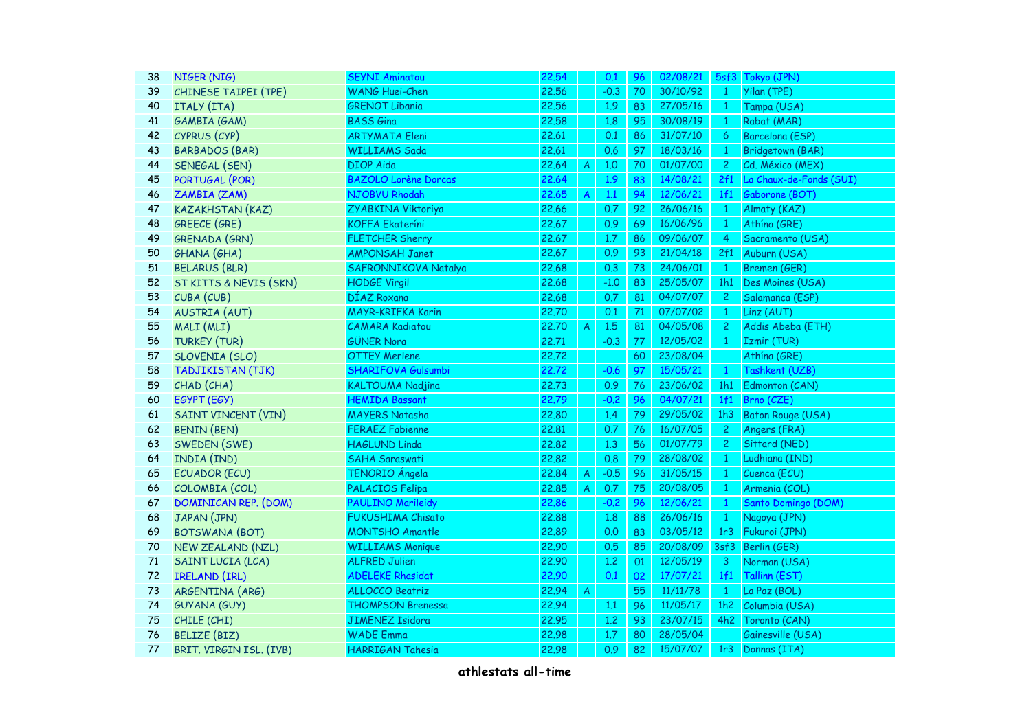| 38 | NIGER (NIG)                 | <b>SEYNI Aminatou</b>       | 22.54 |                  | 0.1    | 96 | 02/08/21 |                | 5sf3 Tokyo (JPN)         |  |  |  |  |
|----|-----------------------------|-----------------------------|-------|------------------|--------|----|----------|----------------|--------------------------|--|--|--|--|
| 39 | CHINESE TAIPEI (TPE)        | <b>WANG Huei-Chen</b>       | 22.56 |                  | $-0.3$ | 70 | 30/10/92 | $\mathbf{1}$   | Yilan (TPE)              |  |  |  |  |
| 40 | ITALY (ITA)                 | <b>GRENOT Libania</b>       | 22.56 |                  | 1.9    | 83 | 27/05/16 | $\mathbf{1}$   | Tampa (USA)              |  |  |  |  |
| 41 | GAMBIA (GAM)                | <b>BASS</b> Gina            | 22.58 |                  | 1.8    | 95 | 30/08/19 | $\mathbf{1}$   | Rabat (MAR)              |  |  |  |  |
| 42 | CYPRUS (CYP)                | <b>ARTYMATA Eleni</b>       | 22.61 |                  | 0.1    | 86 | 31/07/10 | 6              | Barcelona (ESP)          |  |  |  |  |
| 43 | <b>BARBADOS (BAR)</b>       | <b>WILLIAMS Sada</b>        | 22.61 |                  | 0.6    | 97 | 18/03/16 | $\mathbf{1}$   | <b>Bridgetown (BAR)</b>  |  |  |  |  |
| 44 | SENEGAL (SEN)               | <b>DIOP</b> Aida            | 22.64 | A                | 1,0    | 70 | 01/07/00 | $\overline{c}$ | Cd. México (MEX)         |  |  |  |  |
| 45 | PORTUGAL (POR)              | <b>BAZOLO Lorène Dorcas</b> | 22.64 |                  | 1.9    | 83 | 14/08/21 | 2f1            | La Chaux-de-Fonds (SUI)  |  |  |  |  |
| 46 | ZAMBIA (ZAM)                | NJOBVU Rhodah               | 22.65 | $\boldsymbol{A}$ | 1.1    | 94 | 12/06/21 | 1f1            | Gaborone (BOT)           |  |  |  |  |
| 47 | <b>KAZAKHSTAN (KAZ)</b>     | ZYABKINA Viktoriya          | 22.66 |                  | 0.7    | 92 | 26/06/16 | $\mathbf{1}$   | Almaty (KAZ)             |  |  |  |  |
| 48 | <b>GREECE (GRE)</b>         | <b>KOFFA Ekateríni</b>      | 22.67 |                  | 0.9    | 69 | 16/06/96 | $\mathbf{1}$   | Athína (GRE)             |  |  |  |  |
| 49 | GRENADA (GRN)               | <b>FLETCHER Sherry</b>      | 22.67 |                  | 1.7    | 86 | 09/06/07 | $\overline{4}$ | Sacramento (USA)         |  |  |  |  |
| 50 | <b>GHANA</b> (GHA)          | <b>AMPONSAH Janet</b>       | 22.67 |                  | 0.9    | 93 | 21/04/18 | 2f1            | Auburn (USA)             |  |  |  |  |
| 51 | <b>BELARUS (BLR)</b>        | SAFRONNIKOVA Natalya        | 22.68 |                  | 0.3    | 73 | 24/06/01 | $\mathbf{1}$   | Bremen (GER)             |  |  |  |  |
| 52 | ST KITTS & NEVIS (SKN)      | <b>HODGE Virgil</b>         | 22.68 |                  | $-1.0$ | 83 | 25/05/07 | 1h1            | Des Moines (USA)         |  |  |  |  |
| 53 | CUBA (CUB)                  | DÍAZ Roxana                 | 22.68 |                  | 0.7    | 81 | 04/07/07 | $\mathbf{2}$   | Salamanca (ESP)          |  |  |  |  |
| 54 | <b>AUSTRIA (AUT)</b>        | <b>MAYR-KRIFKA Karin</b>    | 22.70 |                  | 0.1    | 71 | 07/07/02 | $\mathbf{1}$   | Linz (AUT)               |  |  |  |  |
| 55 | MALI (MLI)                  | <b>CAMARA Kadiatou</b>      | 22.70 | $\overline{A}$   | 1.5    | 81 | 04/05/08 | $\overline{2}$ | Addis Abeba (ETH)        |  |  |  |  |
| 56 | <b>TURKEY (TUR)</b>         | <b>GÜNER Nora</b>           | 22.71 |                  | $-0.3$ | 77 | 12/05/02 | $\mathbf{1}$   | Izmir (TUR)              |  |  |  |  |
| 57 | SLOVENIA (SLO)              | <b>OTTEY Merlene</b>        | 22.72 |                  |        | 60 | 23/08/04 |                | Athína (GRE)             |  |  |  |  |
| 58 | <b>TADJIKISTAN (TJK)</b>    | <b>SHARIFOVA Gulsumbi</b>   | 22.72 |                  | $-0.6$ | 97 | 15/05/21 | $\mathbf{1}$   | Tashkent (UZB)           |  |  |  |  |
| 59 | CHAD (CHA)                  | <b>KALTOUMA Nadjina</b>     | 22.73 |                  | 0.9    | 76 | 23/06/02 | 1h1            | Edmonton (CAN)           |  |  |  |  |
| 60 | EGYPT (EGY)                 | <b>HEMIDA Bassant</b>       | 22.79 |                  | $-0.2$ | 96 | 04/07/21 | 1f1            | Brno (CZE)               |  |  |  |  |
| 61 | <b>SAINT VINCENT (VIN)</b>  | <b>MAYERS Natasha</b>       | 22,80 |                  | 1.4    | 79 | 29/05/02 | 1h3            | <b>Baton Rouge (USA)</b> |  |  |  |  |
| 62 | <b>BENIN (BEN)</b>          | <b>FERAEZ Fabienne</b>      | 22,81 |                  | 0.7    | 76 | 16/07/05 | $\overline{2}$ | Angers (FRA)             |  |  |  |  |
| 63 | SWEDEN (SWE)                | <b>HAGLUND Linda</b>        | 22,82 |                  | 1.3    | 56 | 01/07/79 | $\overline{2}$ | Sittard (NED)            |  |  |  |  |
| 64 | INDIA (IND)                 | <b>SAHA Saraswati</b>       | 22,82 |                  | 0.8    | 79 | 28/08/02 | $\mathbf{1}$   | Ludhiana (IND)           |  |  |  |  |
| 65 | <b>ECUADOR (ECU)</b>        | TENORIO Ángela              | 22.84 | $\overline{A}$   | $-0.5$ | 96 | 31/05/15 | $\mathbf{1}$   | Cuenca (ECU)             |  |  |  |  |
| 66 | COLOMBIA (COL)              | PALACIOS Felipa             | 22,85 | $\overline{A}$   | 0.7    | 75 | 20/08/05 | $\mathbf{1}$   | Armenia (COL)            |  |  |  |  |
| 67 | <b>DOMINICAN REP. (DOM)</b> | <b>PAULINO Marileidy</b>    | 22.86 |                  | $-0.2$ | 96 | 12/06/21 | $\mathbf{1}$   | Santo Domingo (DOM)      |  |  |  |  |
| 68 | JAPAN (JPN)                 | <b>FUKUSHIMA Chisato</b>    | 22.88 |                  | 1.8    | 88 | 26/06/16 | $\mathbf{1}$   | Nagoya (JPN)             |  |  |  |  |
| 69 | <b>BOTSWANA (BOT)</b>       | <b>MONTSHO Amantle</b>      | 22.89 |                  | 0.0    | 83 | 03/05/12 | 1r3            | Fukuroi (JPN)            |  |  |  |  |
| 70 | NEW ZEALAND (NZL)           | <b>WILLIAMS Monique</b>     | 22.90 |                  | 0.5    | 85 | 20/08/09 | 3sf3           | Berlin (GER)             |  |  |  |  |
| 71 | SAINT LUCIA (LCA)           | <b>ALFRED Julien</b>        | 22.90 |                  | 1.2    | 01 | 12/05/19 | $\overline{3}$ | Norman (USA)             |  |  |  |  |
| 72 | IRELAND (IRL)               | <b>ADELEKE Rhasidat</b>     | 22.90 |                  | 0.1    | 02 | 17/07/21 | 1f1            | Tallinn (EST)            |  |  |  |  |
| 73 | ARGENTINA (ARG)             | ALLOCCO Beatriz             | 22.94 | $\overline{A}$   |        | 55 | 11/11/78 | $\mathbf{1}$   | La Paz (BOL)             |  |  |  |  |
| 74 | <b>GUYANA (GUY)</b>         | <b>THOMPSON Brenessa</b>    | 22.94 |                  | 1.1    | 96 | 11/05/17 | 1h2            | Columbia (USA)           |  |  |  |  |
| 75 | CHILE (CHI)                 | <b>JIMENEZ Isidora</b>      | 22.95 |                  | 1.2    | 93 | 23/07/15 | 4h2            | Toronto (CAN)            |  |  |  |  |
| 76 | <b>BELIZE (BIZ)</b>         | <b>WADE Emma</b>            | 22.98 |                  | 1.7    | 80 | 28/05/04 |                | Gainesville (USA)        |  |  |  |  |
| 77 | BRIT. VIRGIN ISL. (IVB)     | <b>HARRIGAN Tahesia</b>     | 22.98 |                  | 0.9    | 82 | 15/07/07 | 1r3            | Donnas (ITA)             |  |  |  |  |